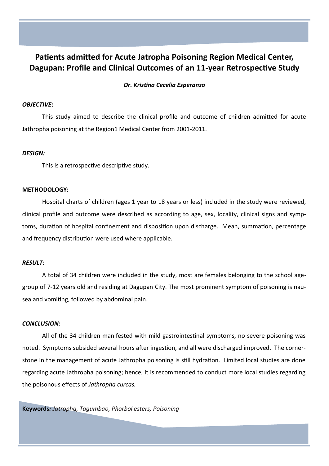# **Patients admitted for Acute Jatropha Poisoning Region Medical Center, Dagupan: Profile and Clinical Outcomes of an 11-year Retrospective Study**

# *Dr. Kristina Cecelia Esperanza*

# *OBJECTIVE***:**

This study aimed to describe the clinical profile and outcome of children admitted for acute Jathropha poisoning at the Region1 Medical Center from 2001-2011.

### *DESIGN:*

This is a retrospective descriptive study.

### **METHODOLOGY:**

Hospital charts of children (ages 1 year to 18 years or less) included in the study were reviewed, clinical profile and outcome were described as according to age, sex, locality, clinical signs and symptoms, duration of hospital confinement and disposition upon discharge. Mean, summation, percentage and frequency distribution were used where applicable.

# *RESULT:*

A total of 34 children were included in the study, most are females belonging to the school agegroup of 7-12 years old and residing at Dagupan City. The most prominent symptom of poisoning is nausea and vomiting, followed by abdominal pain.

# *CONCLUSION:*

All of the 34 children manifested with mild gastrointestinal symptoms, no severe poisoning was noted. Symptoms subsided several hours after ingestion, and all were discharged improved. The cornerstone in the management of acute Jathropha poisoning is still hydration. Limited local studies are done regarding acute Jathropha poisoning; hence, it is recommended to conduct more local studies regarding the poisonous effects of *Jathropha curcas.*

**Keywords***: Jatropha, Tagumbao, Phorbol esters, Poisoning*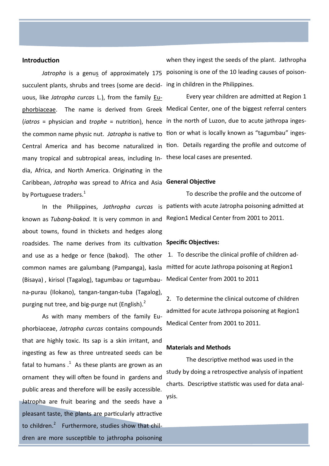## **Introduction**

[succulent plants,](http://en.wikipedia.org/wiki/Succulent_plant) [shrubs](http://en.wikipedia.org/wiki/Shrub) and trees (some are [decid-](http://en.wikipedia.org/wiki/Deciduous)ing in children in the Philippines. [uous,](http://en.wikipedia.org/wiki/Deciduous) like *[Jatropha curcas](http://en.wikipedia.org/wiki/Jatropha_curcas)* L.), from the family [Eu](http://en.wikipedia.org/wiki/Euphorbiaceae)[phorbiaceae.](http://en.wikipedia.org/wiki/Euphorbiaceae) The name is derived from [Greek](http://en.wikipedia.org/wiki/Greek_language) Medical Center, one of the biggest referral centers (*iatros* = physician and *trophe* = nutrition), hence in the north of Luzon, due to acute jathropa ingesthe common name physic nut. *Jatropha* is native to tion or what is locally known as "tagumbau" ingesCentral America and has become [naturalized](http://en.wikipedia.org/wiki/Naturalisation_(biology)) in tion. Details regarding the profile and outcome of many tropical and subtropical areas, including In-these local cases are presented. dia, Africa, and North America. Originating in the Caribbean, *Jatropha* was spread to Africa and Asia **General Objective** by Portuguese traders.<sup>1</sup>

known as *Tubang-bakod.* It is very common in and Region1 Medical Center from 2001 to 2011. about towns, found in thickets and hedges along roadsides. The name derives from its cultivation **Specific Objectives:** and use as a hedge or fence (bakod). The other common names are galumbang (Pampanga), kasla mitted for acute Jathropa poisoning at Region1 (Bisaya) , kirisol (Tagalog), tagumbau or tagumbau-Medical Center from 2001 to 2011 na-purau (Ilokano), tangan-tangan-tuba (Tagalog), purging nut tree, and big-purge nut (English). $<sup>2</sup>$ </sup>

As with many members of the family [Eu](http://en.wikipedia.org/wiki/Euphorbiaceae)[phorbiaceae,](http://en.wikipedia.org/wiki/Euphorbiaceae) *Jatropha curcas* contains compounds that are highly toxic. Its sap is a skin irritant, and ingesting as few as three untreated seeds can be fatal to humans  $.1$  As these plants are grown as an ornament they will often be found in gardens and public areas and therefore will be easily accessible. Jatropha are fruit bearing and the seeds have a pleasant taste, the plants are particularly attractive to children.<sup>2</sup> Furthermore, studies show that children are more susceptible to jathropha poisoning

Jatropha is a [genus](http://en.wikipedia.org/wiki/Genus) of approximately 175 poisoning is one of the 10 leading causes of poisonwhen they ingest the seeds of the plant. Jathropha

Every year children are admitted at Region 1

In the Philippines, *Jathropha curcas* is patients with acute Jatropha poisoning admitted at To describe the profile and the outcome of

1. To describe the clinical profile of children ad-

2. To determine the clinical outcome of children admitted for acute Jathropa poisoning at Region1 Medical Center from 2001 to 2011.

### **Materials and Methods**

The descriptive method was used in the study by doing a retrospective analysis of inpatient charts. Descriptive statistic was used for data analysis.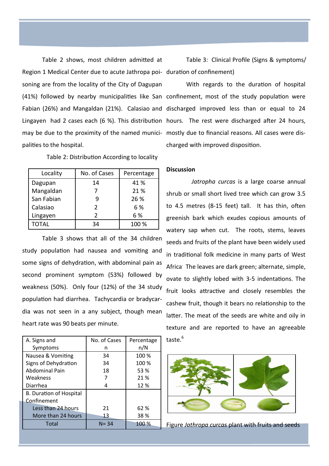Table 2 shows, most children admitted at Region 1 Medical Center due to acute Jathropa poi-duration of confinement) soning are from the locality of the City of Dagupan may be due to the proximity of the named munici-mostly due to financial reasons. All cases were dispalities to the hospital.

Table 2: Distribution According to locality

| Locality     | No. of Cases  | Percentage |
|--------------|---------------|------------|
| Dagupan      | 14            | 41 %       |
| Mangaldan    |               | 21 %       |
| San Fabian   |               | 26 %       |
| Calasiao     | $\mathcal{P}$ | 6 %        |
| Lingayen     | $\mathcal{P}$ | 6 %        |
| <b>TOTAL</b> | 34            | 100 %      |

Table 3 shows that all of the 34 children study population had nausea and vomiting and some signs of dehydration, with abdominal pain as second prominent symptom (53%) followed by weakness (50%). Only four (12%) of the 34 study population had diarrhea. Tachycardia or bradycardia was not seen in a any subject, though mean heart rate was 90 beats per minute.

| A. Signs and                   | No. of Cases | Percentage |
|--------------------------------|--------------|------------|
| Symptoms                       | n            | n/N        |
| Nausea & Vomiting              | 34           | 100 %      |
| Signs of Dehydration           | 34           | 100 %      |
| <b>Abdominal Pain</b>          | 18           | 53 %       |
| Weakness                       |              | 21 %       |
| Diarrhea                       | 4            | 12 %       |
| <b>B. Duration of Hospital</b> |              |            |
| Confinement                    |              |            |
| Less than 24 hours             | 21           | 62 %       |
| More than 24 hours             | 13           | 38 %       |
| Total                          | $N = 34$     | 100 %      |

Table 3: Clinical Profile (Signs & symptoms/

(41%) followed by nearby municipalities like San confinement, most of the study population were Fabian (26%) and Mangaldan (21%). Calasiao and discharged improved less than or equal to 24 Lingayen had 2 cases each (6 %). This distribution hours. The rest were discharged after 24 hours, With regards to the duration of hospital charged with improved disposition.

### **Discussion**

*Jatropha curcas* is a large coarse annual shrub or small short lived tree which can grow 3.5 to 4.5 metres (8-15 feet) tall. It has thin, often greenish bark which exudes copious amounts of watery sap when cut. The roots, stems, leaves seeds and fruits of the plant have been widely used in traditional folk medicine in many parts of West Africa. The leaves are dark green; alternate, simple, ovate to slightly lobed with 3-5 indentations. The fruit looks attractive and closely resembles the cashew fruit, though it bears no relationship to the latter. The meat of the seeds are white and oily in texture and are reported to have an agreeable taste.<sup>6</sup>



Figure *Jathropa curcas* plant with fruits and seeds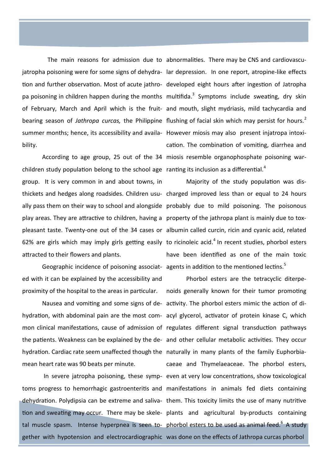bility.

children study population belong to the school age ranting its inclusion as a differential.<sup>4</sup> group. It is very common in and about towns, in thickets and hedges along roadsides. Children usu-charged improved less than or equal to 24 hours ally pass them on their way to school and alongside probably due to mild poisoning. The poisonous play areas. They are attractive to children, having a property of the jathropa plant is mainly due to toxpleasant taste. Twenty-one out of the 34 cases or albumin called curcin, ricin and cyanic acid, related 62% are girls which may imply girls getting easily to ricinoleic acid.<sup>4</sup> In recent studies, phorbol esters attracted to their flowers and plants.

ed with it can be explained by the accessibility and proximity of the hospital to the areas in particular.

hydration. Cardiac rate seem unaffected though the naturally in many plants of the family Euphorbiamean heart rate was 90 beats per minute.

The main reasons for admission due to abnormalities. There may be CNS and cardiovascujatropha poisoning were for some signs of dehydra-lar depression. In one report, atropine-like effects tion and further observation. Most of acute jathro-developed eight hours after ingestion of Jatropha pa poisoning in children happen during the months multifida.<sup>3</sup> Symptoms include sweating, dry skin of February, March and April which is the fruit-and mouth, slight mydriasis, mild tachycardia and bearing season of Jathropa curcas, the Philippine flushing of facial skin which may persist for hours.<sup>2</sup> summer months; hence, its accessibility and availa-However miosis may also present injatropa intoxi-According to age group, 25 out of the 34 miosis resemble organophosphate poisoning warcation. The combination of vomiting, diarrhea and

Geographic incidence of poisoning associat- agents in addition to the mentioned lectins.<sup>5</sup> Majority of the study population was dishave been identified as one of the main toxic

Nausea and vomiting and some signs of de-activity. The phorbol esters mimic the action of dihydration, with abdominal pain are the most com-acyl glycerol, activator of protein kinase C, which mon clinical manifestations, cause of admission of regulates different signal transduction pathways the patients. Weakness can be explained by the de-and other cellular metabolic activities. They occur In severe jatropha poisoning, these symp-even at very low concentrations, show toxicological toms progress to hemorrhagic gastroenteritis and manifestations in animals fed diets containing dehydration. Polydipsia can be extreme and saliva- them. This toxicity limits the use of many nutritive tion and sweating may occur. There may be skele-plants and agricultural by-products containing tal muscle spasm. Intense hyperpnea is seen to- phorbol esters to be used as animal feed.<sup>6</sup> A study gether with hypotension and electrocardiographic was done on the effects of Jathropa curcas phorbol Phorbol esters are the tetracyclic diterpenoids generally known for their tumor promoting caeae and Thymelaeaceae. The phorbol esters,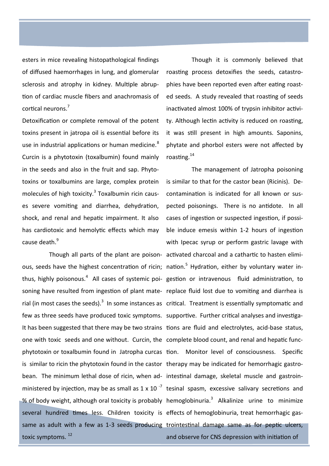esters in mice revealing histopathological findings of diffused haemorrhages in lung, and glomerular sclerosis and atrophy in kidney. Multiple abruption of cardiac muscle fibers and anachromasis of cortical neurons.<sup>7</sup>

Detoxification or complete removal of the potent toxins present in jatropa oil is essential before its use in industrial applications or human medicine.<sup>8</sup> Curcin is a phytotoxin (toxalbumin) found mainly in the seeds and also in the fruit and sap. Phytotoxins or toxalbumins are large, complex protein molecules of high toxicity.<sup>3</sup> Toxalbumin ricin causes severe vomiting and diarrhea, dehydration, shock, and renal and hepatic impairment. It also has cardiotoxic and hemolytic effects which may cause death.<sup>9</sup>

ous, seeds have the highest concentration of ricin; nation.<sup>5</sup> Hydration, either by voluntary water inthus, highly poisonous.<sup>4</sup> All cases of systemic poi- gestion or intravenous fluid administration, to soning have resulted from ingestion of plant mate-replace fluid lost due to vomiting and diarrhea is rial (in most cases the seeds).<sup>3</sup> In some instances as critical. Treatment is essentially symptomatic and few as three seeds have produced toxic symptoms. supportive. Further critical analyses and investiga-It has been suggested that there may be two strains tions are fluid and electrolytes, acid-base status, one with toxic seeds and one without. Curcin, the complete blood count, and renal and hepatic funcphytotoxin or toxalbumin found in Jatropha curcas tion. Monitor level of consciousness. Specific is similar to ricin the phytotoxin found in the castor therapy may be indicated for hemorrhagic gastrobean. The minimum lethal dose of ricin, when ad- intestinal damage, skeletal muscle and gastroinministered by injection, may be as small as 1 x 10<sup>-7</sup> tesinal spasm, excessive salivary secretions and % of body weight, although oral toxicity is probably hemoglobinuria.<sup>3</sup> Alkalinize urine to minimize several hundred times less. Children toxicity is effects of hemoglobinuria, treat hemorrhagic gassame as adult with a few as 1-3 seeds producing trointestinal damage same as for peptic ulcers, toxic symptoms.<sup>12</sup>

Though it is commonly believed that roasting process detoxifies the seeds, catastrophies have been reported even after eating roasted seeds. A study revealed that roasting of seeds inactivated almost 100% of trypsin inhibitor activity. Although lectin activity is reduced on roasting, it was still present in high amounts. Saponins, phytate and phorbol esters were not affected by roasting.<sup>14</sup>

Though all parts of the plant are poison-activated charcoal and a cathartic to hasten elimi-The management of Jatropha poisoning is similar to that for the castor bean (Ricinis). Decontamination is indicated for all known or suspected poisonings. There is no antidote. In all cases of ingestion or suspected ingestion, if possible induce emesis within 1-2 hours of ingestion with Ipecac syrup or perform gastric lavage with and observe for CNS depression with initiation of